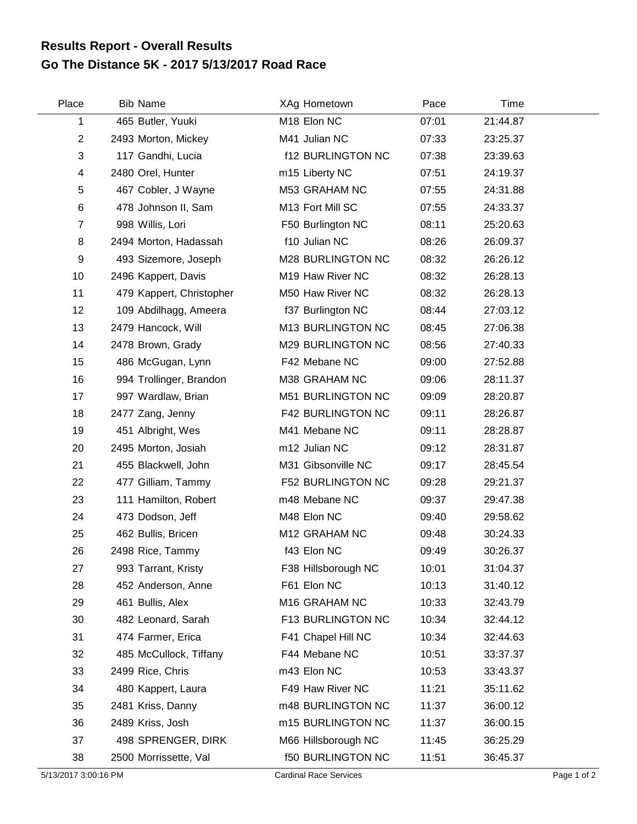## **Go The Distance 5K - 2017 5/13/2017 Road Race Results Report - Overall Results**

| Place          | <b>Bib Name</b>          | XAg Hometown             | Pace  | Time     |  |
|----------------|--------------------------|--------------------------|-------|----------|--|
| 1              | 465 Butler, Yuuki        | M <sub>18</sub> Elon NC  | 07:01 | 21:44.87 |  |
| $\overline{2}$ | 2493 Morton, Mickey      | M41 Julian NC            | 07:33 | 23:25.37 |  |
| 3              | 117 Gandhi, Lucia        | <b>f12 BURLINGTON NC</b> | 07:38 | 23:39.63 |  |
| 4              | 2480 Orel, Hunter        | m15 Liberty NC           | 07:51 | 24:19.37 |  |
| 5              | 467 Cobler, J Wayne      | M53 GRAHAM NC            | 07:55 | 24:31.88 |  |
| 6              | 478 Johnson II, Sam      | M13 Fort Mill SC         | 07:55 | 24:33.37 |  |
| $\overline{7}$ | 998 Willis, Lori         | F50 Burlington NC        | 08:11 | 25:20.63 |  |
| 8              | 2494 Morton, Hadassah    | f10 Julian NC            | 08:26 | 26:09.37 |  |
| 9              | 493 Sizemore, Joseph     | M28 BURLINGTON NC        | 08:32 | 26:26.12 |  |
| 10             | 2496 Kappert, Davis      | M19 Haw River NC         | 08:32 | 26:28.13 |  |
| 11             | 479 Kappert, Christopher | M50 Haw River NC         | 08:32 | 26:28.13 |  |
| 12             | 109 Abdilhagg, Ameera    | f37 Burlington NC        | 08:44 | 27:03.12 |  |
| 13             | 2479 Hancock, Will       | M13 BURLINGTON NC        | 08:45 | 27:06.38 |  |
| 14             | 2478 Brown, Grady        | M29 BURLINGTON NC        | 08:56 | 27:40.33 |  |
| 15             | 486 McGugan, Lynn        | F42 Mebane NC            | 09:00 | 27:52.88 |  |
| 16             | 994 Trollinger, Brandon  | M38 GRAHAM NC            | 09:06 | 28:11.37 |  |
| 17             | 997 Wardlaw, Brian       | M51 BURLINGTON NC        | 09:09 | 28:20.87 |  |
| 18             | 2477 Zang, Jenny         | <b>F42 BURLINGTON NC</b> | 09:11 | 28:26.87 |  |
| 19             | 451 Albright, Wes        | M41 Mebane NC            | 09:11 | 28:28.87 |  |
| 20             | 2495 Morton, Josiah      | m12 Julian NC            | 09:12 | 28:31.87 |  |
| 21             | 455 Blackwell, John      | M31 Gibsonville NC       | 09:17 | 28:45.54 |  |
| 22             | 477 Gilliam, Tammy       | <b>F52 BURLINGTON NC</b> | 09:28 | 29:21.37 |  |
| 23             | 111 Hamilton, Robert     | m48 Mebane NC            | 09:37 | 29:47.38 |  |
| 24             | 473 Dodson, Jeff         | M48 Elon NC              | 09:40 | 29:58.62 |  |
| 25             | 462 Bullis, Bricen       | M12 GRAHAM NC            | 09:48 | 30:24.33 |  |
| 26             | 2498 Rice, Tammy         | f43 Elon NC              | 09:49 | 30:26.37 |  |
| 27             | 993 Tarrant, Kristy      | F38 Hillsborough NC      | 10:01 | 31:04.37 |  |
| 28             | 452 Anderson, Anne       | F61 Elon NC              | 10:13 | 31:40.12 |  |
| 29             | 461 Bullis, Alex         | M16 GRAHAM NC            | 10:33 | 32:43.79 |  |
| 30             | 482 Leonard, Sarah       | F13 BURLINGTON NC        | 10:34 | 32:44.12 |  |
| 31             | 474 Farmer, Erica        | F41 Chapel Hill NC       | 10:34 | 32:44.63 |  |
| 32             | 485 McCullock, Tiffany   | F44 Mebane NC            | 10:51 | 33:37.37 |  |
| 33             | 2499 Rice, Chris         | m43 Elon NC              | 10:53 | 33:43.37 |  |
| 34             | 480 Kappert, Laura       | F49 Haw River NC         | 11:21 | 35:11.62 |  |
| 35             | 2481 Kriss, Danny        | m48 BURLINGTON NC        | 11:37 | 36:00.12 |  |
| 36             | 2489 Kriss, Josh         | m15 BURLINGTON NC        | 11:37 | 36:00.15 |  |
| 37             | 498 SPRENGER, DIRK       | M66 Hillsborough NC      | 11:45 | 36:25.29 |  |
| 38             | 2500 Morrissette, Val    | <b>f50 BURLINGTON NC</b> | 11:51 | 36:45.37 |  |